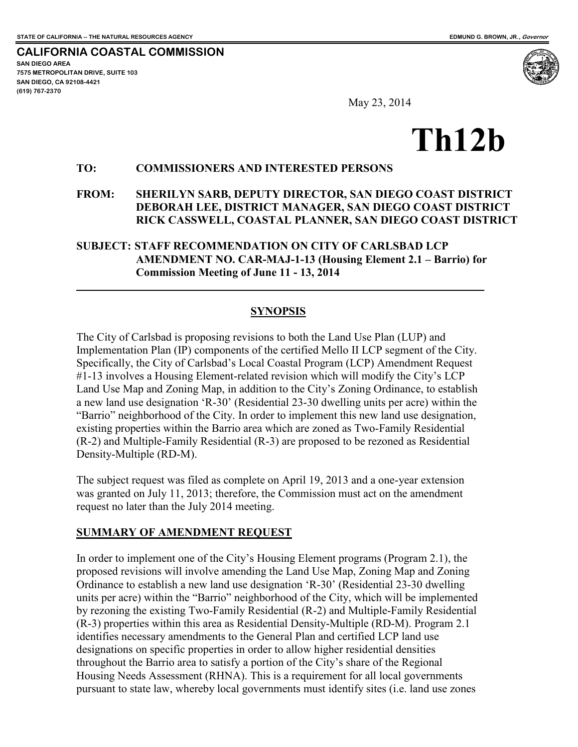**CALIFORNIA COASTAL COMMISSION SAN DIEGO AREA 7575 METROPOLITAN DRIVE, SUITE 103 SAN DIEGO, CA 92108-4421 (619) 767-2370**

 $\overline{a}$ 

May 23, 2014

# **Th12b**

#### **TO: COMMISSIONERS AND INTERESTED PERSONS**

#### **FROM: SHERILYN SARB, DEPUTY DIRECTOR, SAN DIEGO COAST DISTRICT DEBORAH LEE, DISTRICT MANAGER, SAN DIEGO COAST DISTRICT RICK CASSWELL, COASTAL PLANNER, SAN DIEGO COAST DISTRICT**

#### **SUBJECT: STAFF RECOMMENDATION ON CITY OF CARLSBAD LCP AMENDMENT NO. CAR-MAJ-1-13 (Housing Element 2.1 – Barrio) for Commission Meeting of June 11 - 13, 2014**

#### **SYNOPSIS**

The City of Carlsbad is proposing revisions to both the Land Use Plan (LUP) and Implementation Plan (IP) components of the certified Mello II LCP segment of the City. Specifically, the City of Carlsbad's Local Coastal Program (LCP) Amendment Request #1-13 involves a Housing Element-related revision which will modify the City's LCP Land Use Map and Zoning Map, in addition to the City's Zoning Ordinance, to establish a new land use designation 'R-30' (Residential 23-30 dwelling units per acre) within the "Barrio" neighborhood of the City. In order to implement this new land use designation, existing properties within the Barrio area which are zoned as Two-Family Residential (R-2) and Multiple-Family Residential (R-3) are proposed to be rezoned as Residential Density-Multiple (RD-M).

The subject request was filed as complete on April 19, 2013 and a one-year extension was granted on July 11, 2013; therefore, the Commission must act on the amendment request no later than the July 2014 meeting.

#### **SUMMARY OF AMENDMENT REQUEST**

In order to implement one of the City's Housing Element programs (Program 2.1), the proposed revisions will involve amending the Land Use Map, Zoning Map and Zoning Ordinance to establish a new land use designation 'R-30' (Residential 23-30 dwelling units per acre) within the "Barrio" neighborhood of the City, which will be implemented by rezoning the existing Two-Family Residential (R-2) and Multiple-Family Residential (R-3) properties within this area as Residential Density-Multiple (RD-M). Program 2.1 identifies necessary amendments to the General Plan and certified LCP land use designations on specific properties in order to allow higher residential densities throughout the Barrio area to satisfy a portion of the City's share of the Regional Housing Needs Assessment (RHNA). This is a requirement for all local governments pursuant to state law, whereby local governments must identify sites (i.e. land use zones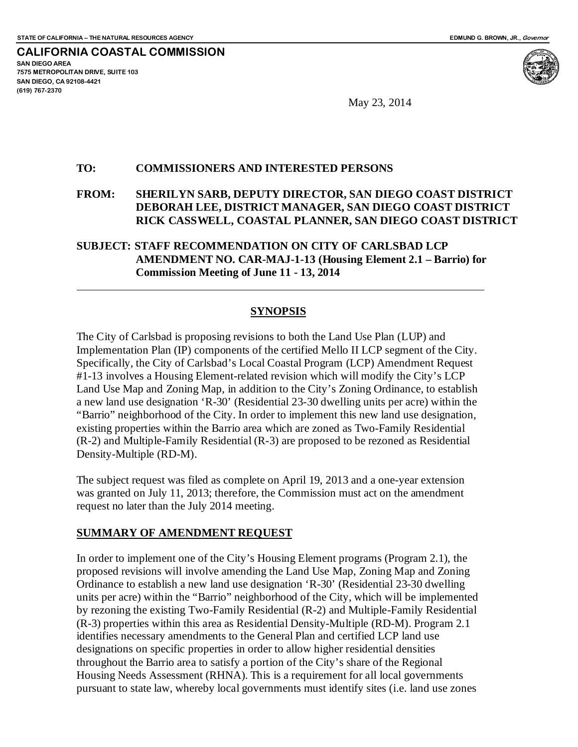**CALIFORNIA COASTAL COMMISSION SAN DIEGO AREA 7575 METROPOLITAN DRIVE, SUITE 103 SAN DIEGO, CA 92108-4421 (619) 767-2370**

 $\overline{a}$ 

May 23, 2014

#### **TO: COMMISSIONERS AND INTERESTED PERSONS**

**FROM: SHERILYN SARB, DEPUTY DIRECTOR, SAN DIEGO COAST DISTRICT DEBORAH LEE, DISTRICT MANAGER, SAN DIEGO COAST DISTRICT RICK CASSWELL, COASTAL PLANNER, SAN DIEGO COAST DISTRICT**

#### **SUBJECT: STAFF RECOMMENDATION ON CITY OF CARLSBAD LCP AMENDMENT NO. CAR-MAJ-1-13 (Housing Element 2.1 – Barrio) for Commission Meeting of June 11 - 13, 2014**

#### **SYNOPSIS**

The City of Carlsbad is proposing revisions to both the Land Use Plan (LUP) and Implementation Plan (IP) components of the certified Mello II LCP segment of the City. Specifically, the City of Carlsbad's Local Coastal Program (LCP) Amendment Request #1-13 involves a Housing Element-related revision which will modify the City's LCP Land Use Map and Zoning Map, in addition to the City's Zoning Ordinance, to establish a new land use designation 'R-30' (Residential 23-30 dwelling units per acre) within the "Barrio" neighborhood of the City. In order to implement this new land use designation, existing properties within the Barrio area which are zoned as Two-Family Residential (R-2) and Multiple-Family Residential (R-3) are proposed to be rezoned as Residential Density-Multiple (RD-M).

The subject request was filed as complete on April 19, 2013 and a one-year extension was granted on July 11, 2013; therefore, the Commission must act on the amendment request no later than the July 2014 meeting.

#### **SUMMARY OF AMENDMENT REQUEST**

In order to implement one of the City's Housing Element programs (Program 2.1), the proposed revisions will involve amending the Land Use Map, Zoning Map and Zoning Ordinance to establish a new land use designation 'R-30' (Residential 23-30 dwelling units per acre) within the "Barrio" neighborhood of the City, which will be implemented by rezoning the existing Two-Family Residential (R-2) and Multiple-Family Residential (R-3) properties within this area as Residential Density-Multiple (RD-M). Program 2.1 identifies necessary amendments to the General Plan and certified LCP land use designations on specific properties in order to allow higher residential densities throughout the Barrio area to satisfy a portion of the City's share of the Regional Housing Needs Assessment (RHNA). This is a requirement for all local governments pursuant to state law, whereby local governments must identify sites (i.e. land use zones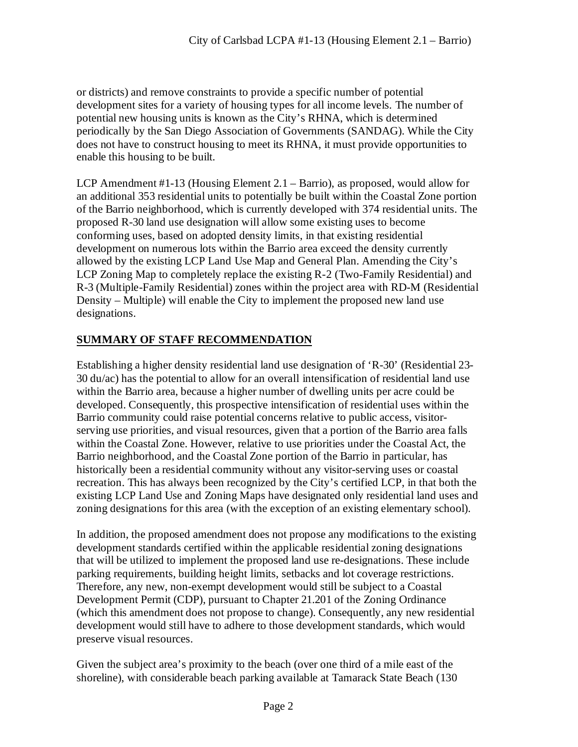or districts) and remove constraints to provide a specific number of potential development sites for a variety of housing types for all income levels. The number of potential new housing units is known as the City's RHNA, which is determined periodically by the San Diego Association of Governments (SANDAG). While the City does not have to construct housing to meet its RHNA, it must provide opportunities to enable this housing to be built.

LCP Amendment #1-13 (Housing Element 2.1 – Barrio), as proposed, would allow for an additional 353 residential units to potentially be built within the Coastal Zone portion of the Barrio neighborhood, which is currently developed with 374 residential units. The proposed R-30 land use designation will allow some existing uses to become conforming uses, based on adopted density limits, in that existing residential development on numerous lots within the Barrio area exceed the density currently allowed by the existing LCP Land Use Map and General Plan. Amending the City's LCP Zoning Map to completely replace the existing R-2 (Two-Family Residential) and R-3 (Multiple-Family Residential) zones within the project area with RD-M (Residential Density – Multiple) will enable the City to implement the proposed new land use designations.

#### **SUMMARY OF STAFF RECOMMENDATION**

Establishing a higher density residential land use designation of 'R-30' (Residential 23- 30 du/ac) has the potential to allow for an overall intensification of residential land use within the Barrio area, because a higher number of dwelling units per acre could be developed. Consequently, this prospective intensification of residential uses within the Barrio community could raise potential concerns relative to public access, visitorserving use priorities, and visual resources, given that a portion of the Barrio area falls within the Coastal Zone. However, relative to use priorities under the Coastal Act, the Barrio neighborhood, and the Coastal Zone portion of the Barrio in particular, has historically been a residential community without any visitor-serving uses or coastal recreation. This has always been recognized by the City's certified LCP, in that both the existing LCP Land Use and Zoning Maps have designated only residential land uses and zoning designations for this area (with the exception of an existing elementary school).

In addition, the proposed amendment does not propose any modifications to the existing development standards certified within the applicable residential zoning designations that will be utilized to implement the proposed land use re-designations. These include parking requirements, building height limits, setbacks and lot coverage restrictions. Therefore, any new, non-exempt development would still be subject to a Coastal Development Permit (CDP), pursuant to Chapter 21.201 of the Zoning Ordinance (which this amendment does not propose to change). Consequently, any new residential development would still have to adhere to those development standards, which would preserve visual resources.

Given the subject area's proximity to the beach (over one third of a mile east of the shoreline), with considerable beach parking available at Tamarack State Beach (130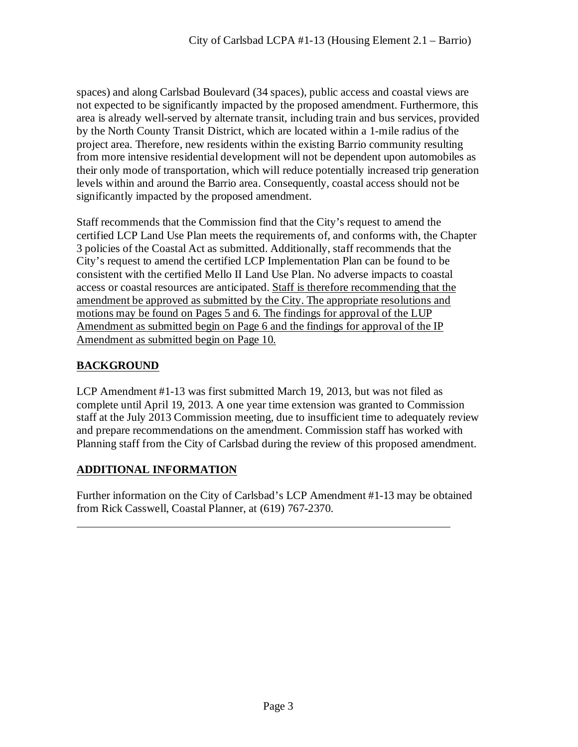spaces) and along Carlsbad Boulevard (34 spaces), public access and coastal views are not expected to be significantly impacted by the proposed amendment. Furthermore, this area is already well-served by alternate transit, including train and bus services, provided by the North County Transit District, which are located within a 1-mile radius of the project area. Therefore, new residents within the existing Barrio community resulting from more intensive residential development will not be dependent upon automobiles as their only mode of transportation, which will reduce potentially increased trip generation levels within and around the Barrio area. Consequently, coastal access should not be significantly impacted by the proposed amendment.

Staff recommends that the Commission find that the City's request to amend the certified LCP Land Use Plan meets the requirements of, and conforms with, the Chapter 3 policies of the Coastal Act as submitted. Additionally, staff recommends that the City's request to amend the certified LCP Implementation Plan can be found to be consistent with the certified Mello II Land Use Plan. No adverse impacts to coastal access or coastal resources are anticipated. Staff is therefore recommending that the amendment be approved as submitted by the City. The appropriate resolutions and motions may be found on Pages 5 and 6. The findings for approval of the LUP Amendment as submitted begin on Page 6 and the findings for approval of the IP Amendment as submitted begin on Page 10.

#### **BACKGROUND**

 $\overline{a}$ 

LCP Amendment #1-13 was first submitted March 19, 2013, but was not filed as complete until April 19, 2013. A one year time extension was granted to Commission staff at the July 2013 Commission meeting, due to insufficient time to adequately review and prepare recommendations on the amendment. Commission staff has worked with Planning staff from the City of Carlsbad during the review of this proposed amendment.

#### **ADDITIONAL INFORMATION**

Further information on the City of Carlsbad's LCP Amendment #1-13 may be obtained from Rick Casswell, Coastal Planner, at (619) 767-2370.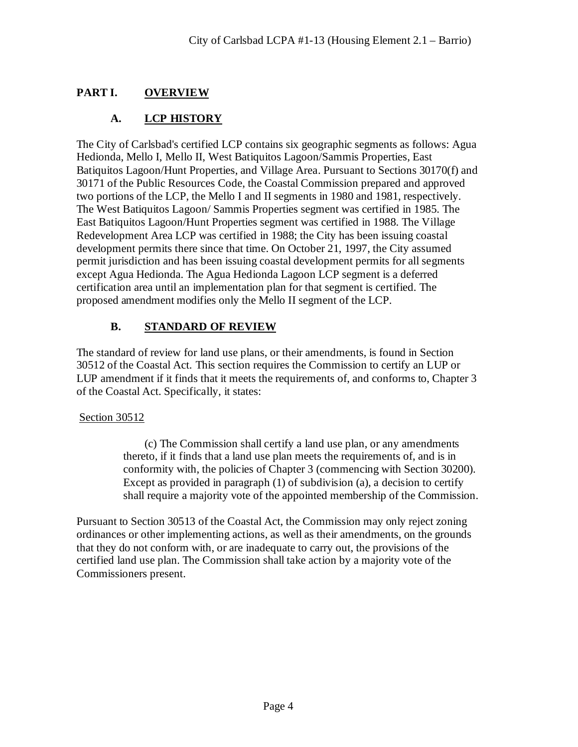# **PART I. OVERVIEW**

# **A. LCP HISTORY**

The City of Carlsbad's certified LCP contains six geographic segments as follows: Agua Hedionda, Mello I, Mello II, West Batiquitos Lagoon/Sammis Properties, East Batiquitos Lagoon/Hunt Properties, and Village Area. Pursuant to Sections 30170(f) and 30171 of the Public Resources Code, the Coastal Commission prepared and approved two portions of the LCP, the Mello I and II segments in 1980 and 1981, respectively. The West Batiquitos Lagoon/ Sammis Properties segment was certified in 1985. The East Batiquitos Lagoon/Hunt Properties segment was certified in 1988. The Village Redevelopment Area LCP was certified in 1988; the City has been issuing coastal development permits there since that time. On October 21, 1997, the City assumed permit jurisdiction and has been issuing coastal development permits for all segments except Agua Hedionda. The Agua Hedionda Lagoon LCP segment is a deferred certification area until an implementation plan for that segment is certified. The proposed amendment modifies only the Mello II segment of the LCP.

# **B. STANDARD OF REVIEW**

The standard of review for land use plans, or their amendments, is found in Section 30512 of the Coastal Act. This section requires the Commission to certify an LUP or LUP amendment if it finds that it meets the requirements of, and conforms to, Chapter 3 of the Coastal Act. Specifically, it states:

#### Section 30512

(c) The Commission shall certify a land use plan, or any amendments thereto, if it finds that a land use plan meets the requirements of, and is in conformity with, the policies of Chapter 3 (commencing with Section 30200). Except as provided in paragraph (1) of subdivision (a), a decision to certify shall require a majority vote of the appointed membership of the Commission.

Pursuant to Section 30513 of the Coastal Act, the Commission may only reject zoning ordinances or other implementing actions, as well as their amendments, on the grounds that they do not conform with, or are inadequate to carry out, the provisions of the certified land use plan. The Commission shall take action by a majority vote of the Commissioners present.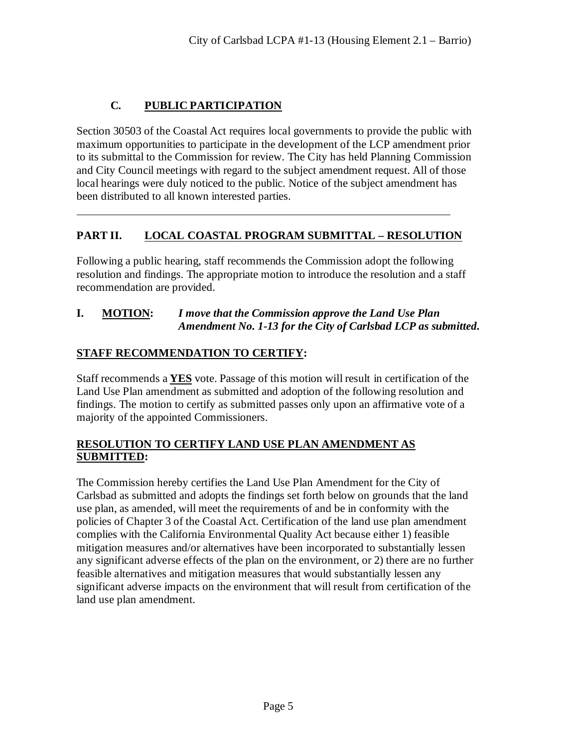# **C. PUBLIC PARTICIPATION**

 $\overline{a}$ 

Section 30503 of the Coastal Act requires local governments to provide the public with maximum opportunities to participate in the development of the LCP amendment prior to its submittal to the Commission for review. The City has held Planning Commission and City Council meetings with regard to the subject amendment request. All of those local hearings were duly noticed to the public. Notice of the subject amendment has been distributed to all known interested parties.

# **PART II. LOCAL COASTAL PROGRAM SUBMITTAL – RESOLUTION**

Following a public hearing, staff recommends the Commission adopt the following resolution and findings. The appropriate motion to introduce the resolution and a staff recommendation are provided.

#### **I. MOTION:** *I move that the Commission approve the Land Use Plan Amendment No. 1-13 for the City of Carlsbad LCP as submitted.*

# **STAFF RECOMMENDATION TO CERTIFY:**

Staff recommends a **YES** vote. Passage of this motion will result in certification of the Land Use Plan amendment as submitted and adoption of the following resolution and findings. The motion to certify as submitted passes only upon an affirmative vote of a majority of the appointed Commissioners.

#### **RESOLUTION TO CERTIFY LAND USE PLAN AMENDMENT AS SUBMITTED:**

The Commission hereby certifies the Land Use Plan Amendment for the City of Carlsbad as submitted and adopts the findings set forth below on grounds that the land use plan, as amended, will meet the requirements of and be in conformity with the policies of Chapter 3 of the Coastal Act. Certification of the land use plan amendment complies with the California Environmental Quality Act because either 1) feasible mitigation measures and/or alternatives have been incorporated to substantially lessen any significant adverse effects of the plan on the environment, or 2) there are no further feasible alternatives and mitigation measures that would substantially lessen any significant adverse impacts on the environment that will result from certification of the land use plan amendment.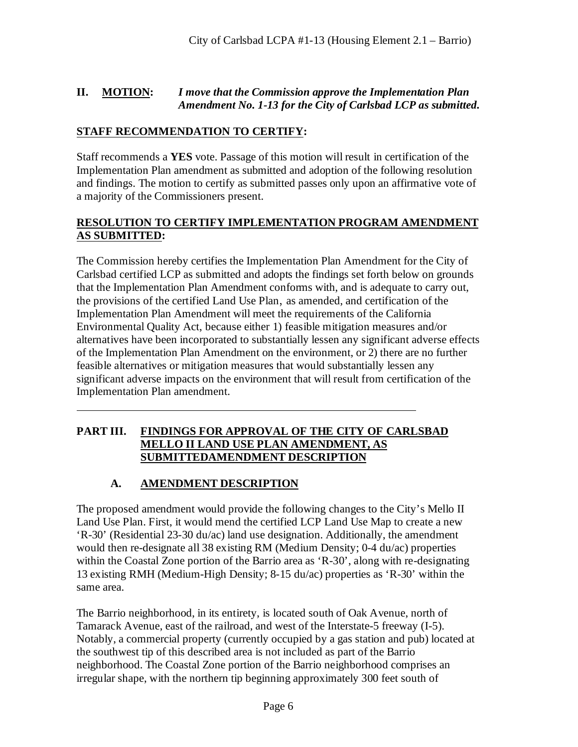#### **II. MOTION:** *I move that the Commission approve the Implementation Plan Amendment No. 1-13 for the City of Carlsbad LCP as submitted.*

#### **STAFF RECOMMENDATION TO CERTIFY:**

Staff recommends a **YES** vote. Passage of this motion will result in certification of the Implementation Plan amendment as submitted and adoption of the following resolution and findings. The motion to certify as submitted passes only upon an affirmative vote of a majority of the Commissioners present.

#### **RESOLUTION TO CERTIFY IMPLEMENTATION PROGRAM AMENDMENT AS SUBMITTED:**

The Commission hereby certifies the Implementation Plan Amendment for the City of Carlsbad certified LCP as submitted and adopts the findings set forth below on grounds that the Implementation Plan Amendment conforms with, and is adequate to carry out, the provisions of the certified Land Use Plan, as amended, and certification of the Implementation Plan Amendment will meet the requirements of the California Environmental Quality Act, because either 1) feasible mitigation measures and/or alternatives have been incorporated to substantially lessen any significant adverse effects of the Implementation Plan Amendment on the environment, or 2) there are no further feasible alternatives or mitigation measures that would substantially lessen any significant adverse impacts on the environment that will result from certification of the Implementation Plan amendment.

#### **PART III. FINDINGS FOR APPROVAL OF THE CITY OF CARLSBAD MELLO II LAND USE PLAN AMENDMENT, AS SUBMITTEDAMENDMENT DESCRIPTION**

#### **A. AMENDMENT DESCRIPTION**

 $\overline{a}$ 

The proposed amendment would provide the following changes to the City's Mello II Land Use Plan. First, it would mend the certified LCP Land Use Map to create a new 'R-30' (Residential 23-30 du/ac) land use designation. Additionally, the amendment would then re-designate all 38 existing RM (Medium Density; 0-4 du/ac) properties within the Coastal Zone portion of the Barrio area as 'R-30', along with re-designating 13 existing RMH (Medium-High Density; 8-15 du/ac) properties as 'R-30' within the same area.

The Barrio neighborhood, in its entirety, is located south of Oak Avenue, north of Tamarack Avenue, east of the railroad, and west of the Interstate-5 freeway (I-5). Notably, a commercial property (currently occupied by a gas station and pub) located at the southwest tip of this described area is not included as part of the Barrio neighborhood. The Coastal Zone portion of the Barrio neighborhood comprises an irregular shape, with the northern tip beginning approximately 300 feet south of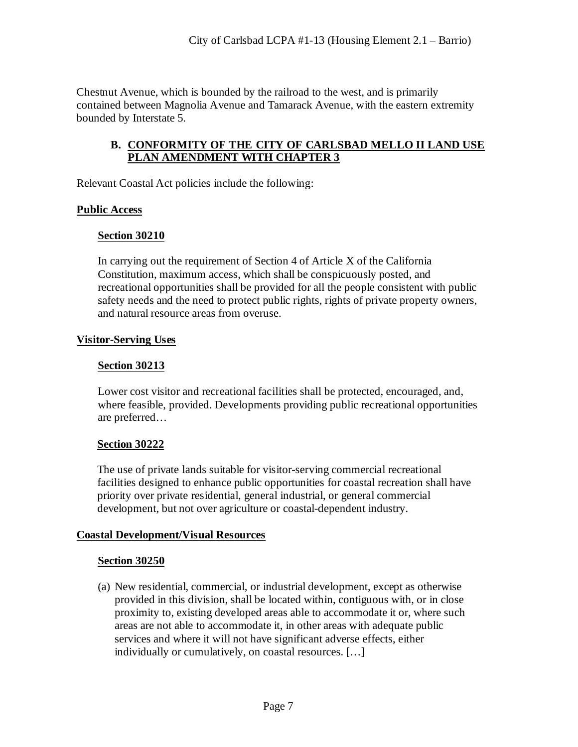Chestnut Avenue, which is bounded by the railroad to the west, and is primarily contained between Magnolia Avenue and Tamarack Avenue, with the eastern extremity bounded by Interstate 5.

#### **B. CONFORMITY OF THE CITY OF CARLSBAD MELLO II LAND USE PLAN AMENDMENT WITH CHAPTER 3**

Relevant Coastal Act policies include the following:

#### **Public Access**

#### **Section 30210**

In carrying out the requirement of Section 4 of Article X of the California Constitution, maximum access, which shall be conspicuously posted, and recreational opportunities shall be provided for all the people consistent with public safety needs and the need to protect public rights, rights of private property owners, and natural resource areas from overuse.

#### **Visitor-Serving Uses**

#### **Section 30213**

Lower cost visitor and recreational facilities shall be protected, encouraged, and, where feasible, provided. Developments providing public recreational opportunities are preferred…

#### **Section 30222**

The use of private lands suitable for visitor-serving commercial recreational facilities designed to enhance public opportunities for coastal recreation shall have priority over private residential, general industrial, or general commercial development, but not over agriculture or coastal-dependent industry.

#### **Coastal Development/Visual Resources**

#### **Section 30250**

(a) New residential, commercial, or industrial development, except as otherwise provided in this division, shall be located within, contiguous with, or in close proximity to, existing developed areas able to accommodate it or, where such areas are not able to accommodate it, in other areas with adequate public services and where it will not have significant adverse effects, either individually or cumulatively, on coastal resources. […]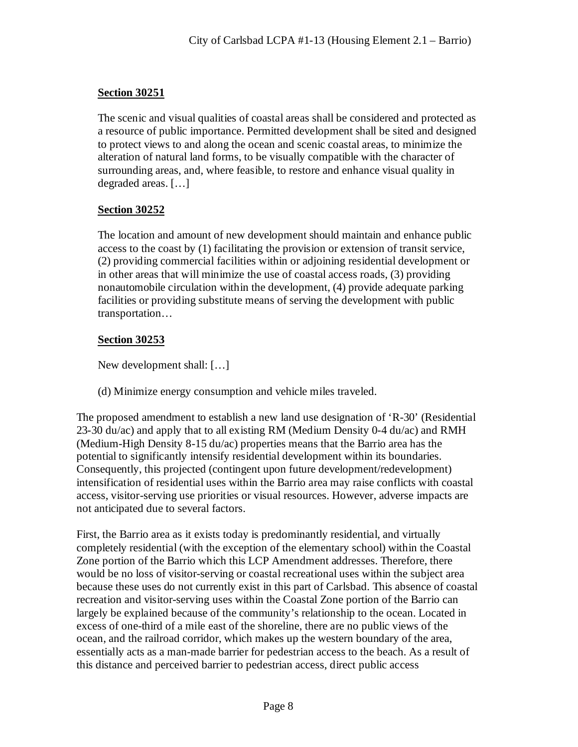#### **Section 30251**

The scenic and visual qualities of coastal areas shall be considered and protected as a resource of public importance. Permitted development shall be sited and designed to protect views to and along the ocean and scenic coastal areas, to minimize the alteration of natural land forms, to be visually compatible with the character of surrounding areas, and, where feasible, to restore and enhance visual quality in degraded areas. […]

#### **Section 30252**

The location and amount of new development should maintain and enhance public access to the coast by (1) facilitating the provision or extension of transit service, (2) providing commercial facilities within or adjoining residential development or in other areas that will minimize the use of coastal access roads, (3) providing nonautomobile circulation within the development, (4) provide adequate parking facilities or providing substitute means of serving the development with public transportation…

#### **Section 30253**

New development shall: […]

(d) Minimize energy consumption and vehicle miles traveled.

The proposed amendment to establish a new land use designation of 'R-30' (Residential 23-30 du/ac) and apply that to all existing RM (Medium Density 0-4 du/ac) and RMH (Medium-High Density 8-15 du/ac) properties means that the Barrio area has the potential to significantly intensify residential development within its boundaries. Consequently, this projected (contingent upon future development/redevelopment) intensification of residential uses within the Barrio area may raise conflicts with coastal access, visitor-serving use priorities or visual resources. However, adverse impacts are not anticipated due to several factors.

First, the Barrio area as it exists today is predominantly residential, and virtually completely residential (with the exception of the elementary school) within the Coastal Zone portion of the Barrio which this LCP Amendment addresses. Therefore, there would be no loss of visitor-serving or coastal recreational uses within the subject area because these uses do not currently exist in this part of Carlsbad. This absence of coastal recreation and visitor-serving uses within the Coastal Zone portion of the Barrio can largely be explained because of the community's relationship to the ocean. Located in excess of one-third of a mile east of the shoreline, there are no public views of the ocean, and the railroad corridor, which makes up the western boundary of the area, essentially acts as a man-made barrier for pedestrian access to the beach. As a result of this distance and perceived barrier to pedestrian access, direct public access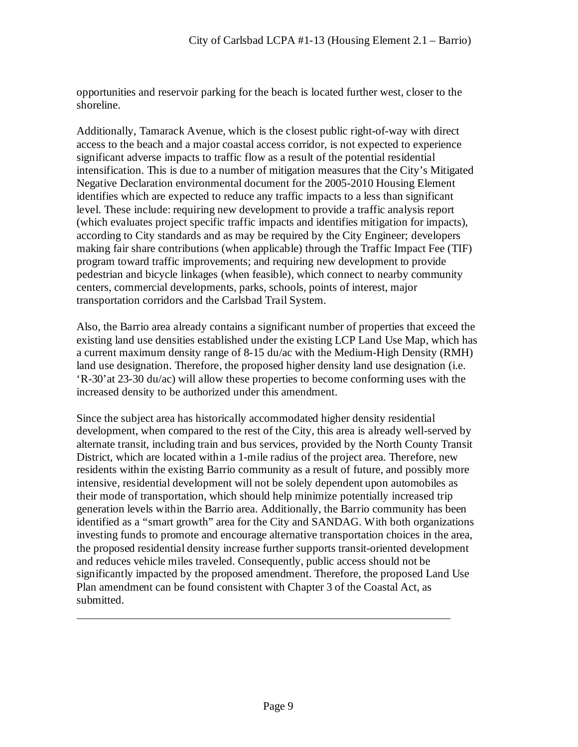opportunities and reservoir parking for the beach is located further west, closer to the shoreline.

Additionally, Tamarack Avenue, which is the closest public right-of-way with direct access to the beach and a major coastal access corridor, is not expected to experience significant adverse impacts to traffic flow as a result of the potential residential intensification. This is due to a number of mitigation measures that the City's Mitigated Negative Declaration environmental document for the 2005-2010 Housing Element identifies which are expected to reduce any traffic impacts to a less than significant level. These include: requiring new development to provide a traffic analysis report (which evaluates project specific traffic impacts and identifies mitigation for impacts), according to City standards and as may be required by the City Engineer; developers making fair share contributions (when applicable) through the Traffic Impact Fee (TIF) program toward traffic improvements; and requiring new development to provide pedestrian and bicycle linkages (when feasible), which connect to nearby community centers, commercial developments, parks, schools, points of interest, major transportation corridors and the Carlsbad Trail System.

Also, the Barrio area already contains a significant number of properties that exceed the existing land use densities established under the existing LCP Land Use Map, which has a current maximum density range of 8-15 du/ac with the Medium-High Density (RMH) land use designation. Therefore, the proposed higher density land use designation (i.e. 'R-30'at 23-30 du/ac) will allow these properties to become conforming uses with the increased density to be authorized under this amendment.

Since the subject area has historically accommodated higher density residential development, when compared to the rest of the City, this area is already well-served by alternate transit, including train and bus services, provided by the North County Transit District, which are located within a 1-mile radius of the project area. Therefore, new residents within the existing Barrio community as a result of future, and possibly more intensive, residential development will not be solely dependent upon automobiles as their mode of transportation, which should help minimize potentially increased trip generation levels within the Barrio area. Additionally, the Barrio community has been identified as a "smart growth" area for the City and SANDAG. With both organizations investing funds to promote and encourage alternative transportation choices in the area, the proposed residential density increase further supports transit-oriented development and reduces vehicle miles traveled. Consequently, public access should not be significantly impacted by the proposed amendment. Therefore, the proposed Land Use Plan amendment can be found consistent with Chapter 3 of the Coastal Act, as submitted.

 $\overline{a}$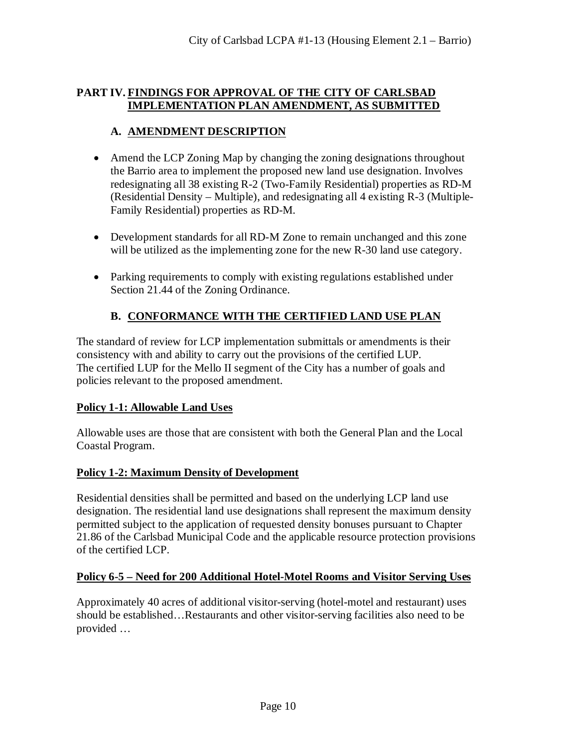#### **PART IV. FINDINGS FOR APPROVAL OF THE CITY OF CARLSBAD IMPLEMENTATION PLAN AMENDMENT, AS SUBMITTED**

# **A. AMENDMENT DESCRIPTION**

- Amend the LCP Zoning Map by changing the zoning designations throughout the Barrio area to implement the proposed new land use designation. Involves redesignating all 38 existing R-2 (Two-Family Residential) properties as RD-M (Residential Density – Multiple), and redesignating all 4 existing R-3 (Multiple-Family Residential) properties as RD-M.
- Development standards for all RD-M Zone to remain unchanged and this zone will be utilized as the implementing zone for the new R-30 land use category.
- Parking requirements to comply with existing regulations established under Section 21.44 of the Zoning Ordinance.

# **B. CONFORMANCE WITH THE CERTIFIED LAND USE PLAN**

The standard of review for LCP implementation submittals or amendments is their consistency with and ability to carry out the provisions of the certified LUP. The certified LUP for the Mello II segment of the City has a number of goals and policies relevant to the proposed amendment.

#### **Policy 1-1: Allowable Land Uses**

Allowable uses are those that are consistent with both the General Plan and the Local Coastal Program.

#### **Policy 1-2: Maximum Density of Development**

Residential densities shall be permitted and based on the underlying LCP land use designation. The residential land use designations shall represent the maximum density permitted subject to the application of requested density bonuses pursuant to Chapter 21.86 of the Carlsbad Municipal Code and the applicable resource protection provisions of the certified LCP.

#### **Policy 6-5 – Need for 200 Additional Hotel-Motel Rooms and Visitor Serving Uses**

Approximately 40 acres of additional visitor-serving (hotel-motel and restaurant) uses should be established…Restaurants and other visitor-serving facilities also need to be provided …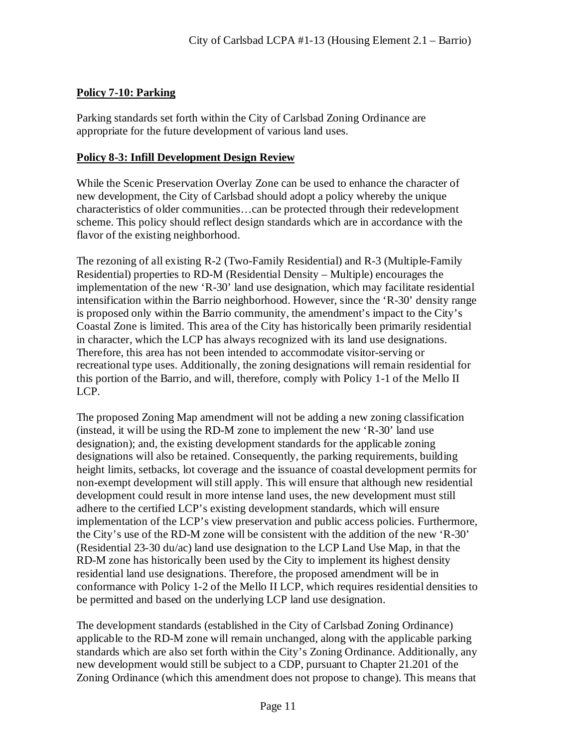#### **Policy 7-10: Parking**

Parking standards set forth within the City of Carlsbad Zoning Ordinance are appropriate for the future development of various land uses.

#### **Policy 8-3: Infill Development Design Review**

While the Scenic Preservation Overlay Zone can be used to enhance the character of new development, the City of Carlsbad should adopt a policy whereby the unique characteristics of older communities…can be protected through their redevelopment scheme. This policy should reflect design standards which are in accordance with the flavor of the existing neighborhood.

The rezoning of all existing R-2 (Two-Family Residential) and R-3 (Multiple-Family Residential) properties to RD-M (Residential Density – Multiple) encourages the implementation of the new 'R-30' land use designation, which may facilitate residential intensification within the Barrio neighborhood. However, since the 'R-30' density range is proposed only within the Barrio community, the amendment's impact to the City's Coastal Zone is limited. This area of the City has historically been primarily residential in character, which the LCP has always recognized with its land use designations. Therefore, this area has not been intended to accommodate visitor-serving or recreational type uses. Additionally, the zoning designations will remain residential for this portion of the Barrio, and will, therefore, comply with Policy 1-1 of the Mello II LCP.

The proposed Zoning Map amendment will not be adding a new zoning classification (instead, it will be using the RD-M zone to implement the new 'R-30' land use designation); and, the existing development standards for the applicable zoning designations will also be retained. Consequently, the parking requirements, building height limits, setbacks, lot coverage and the issuance of coastal development permits for non-exempt development will still apply. This will ensure that although new residential development could result in more intense land uses, the new development must still adhere to the certified LCP's existing development standards, which will ensure implementation of the LCP's view preservation and public access policies. Furthermore, the City's use of the RD-M zone will be consistent with the addition of the new 'R-30' (Residential 23-30 du/ac) land use designation to the LCP Land Use Map, in that the RD-M zone has historically been used by the City to implement its highest density residential land use designations. Therefore, the proposed amendment will be in conformance with Policy 1-2 of the Mello II LCP, which requires residential densities to be permitted and based on the underlying LCP land use designation.

The development standards (established in the City of Carlsbad Zoning Ordinance) applicable to the RD-M zone will remain unchanged, along with the applicable parking standards which are also set forth within the City's Zoning Ordinance. Additionally, any new development would still be subject to a CDP, pursuant to Chapter 21.201 of the Zoning Ordinance (which this amendment does not propose to change). This means that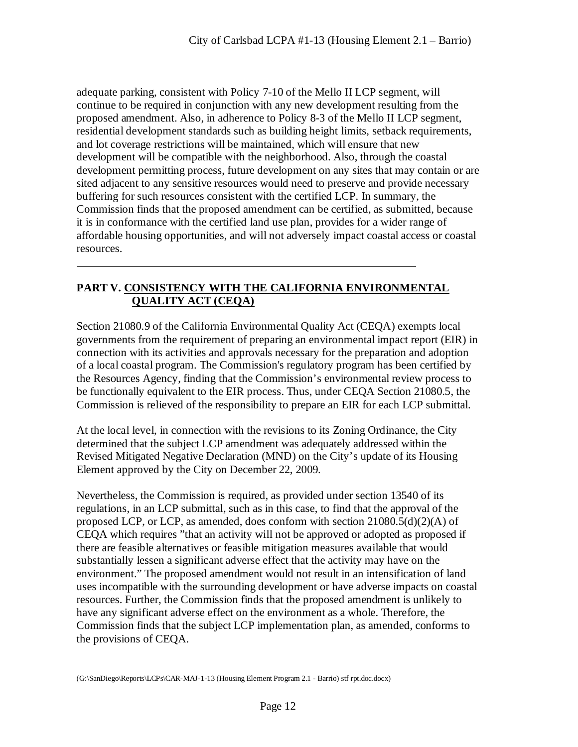adequate parking, consistent with Policy 7-10 of the Mello II LCP segment, will continue to be required in conjunction with any new development resulting from the proposed amendment. Also, in adherence to Policy 8-3 of the Mello II LCP segment, residential development standards such as building height limits, setback requirements, and lot coverage restrictions will be maintained, which will ensure that new development will be compatible with the neighborhood. Also, through the coastal development permitting process, future development on any sites that may contain or are sited adjacent to any sensitive resources would need to preserve and provide necessary buffering for such resources consistent with the certified LCP. In summary, the Commission finds that the proposed amendment can be certified, as submitted, because it is in conformance with the certified land use plan, provides for a wider range of affordable housing opportunities, and will not adversely impact coastal access or coastal resources.

#### **PART V. CONSISTENCY WITH THE CALIFORNIA ENVIRONMENTAL QUALITY ACT (CEQA)**

 $\overline{a}$ 

Section 21080.9 of the California Environmental Quality Act (CEQA) exempts local governments from the requirement of preparing an environmental impact report (EIR) in connection with its activities and approvals necessary for the preparation and adoption of a local coastal program. The Commission's regulatory program has been certified by the Resources Agency, finding that the Commission's environmental review process to be functionally equivalent to the EIR process. Thus, under CEQA Section 21080.5, the Commission is relieved of the responsibility to prepare an EIR for each LCP submittal.

At the local level, in connection with the revisions to its Zoning Ordinance, the City determined that the subject LCP amendment was adequately addressed within the Revised Mitigated Negative Declaration (MND) on the City's update of its Housing Element approved by the City on December 22, 2009.

Nevertheless, the Commission is required, as provided under section 13540 of its regulations, in an LCP submittal, such as in this case, to find that the approval of the proposed LCP, or LCP, as amended, does conform with section  $21080.5(d)(2)(A)$  of CEQA which requires "that an activity will not be approved or adopted as proposed if there are feasible alternatives or feasible mitigation measures available that would substantially lessen a significant adverse effect that the activity may have on the environment." The proposed amendment would not result in an intensification of land uses incompatible with the surrounding development or have adverse impacts on coastal resources. Further, the Commission finds that the proposed amendment is unlikely to have any significant adverse effect on the environment as a whole. Therefore, the Commission finds that the subject LCP implementation plan, as amended, conforms to the provisions of CEQA.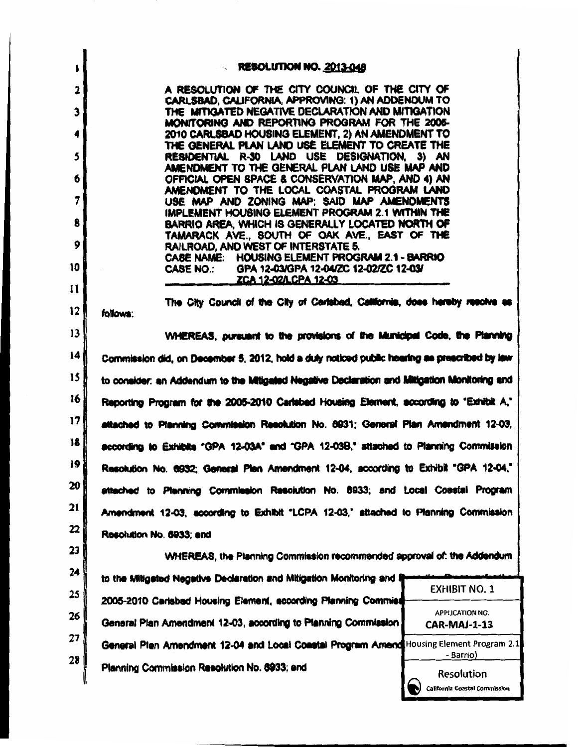| $\mathbf{L}$   | <b>RESOLUTION NO. 2013-048</b>                                                                                  |  |  |  |  |
|----------------|-----------------------------------------------------------------------------------------------------------------|--|--|--|--|
| $\overline{2}$ | A RESOLUTION OF THE CITY COUNCIL OF THE CITY OF                                                                 |  |  |  |  |
| 3              | CARLSBAD, CALIFORNIA, APPROVING: 1) AN ADDENDUM TO<br>THE MITIGATED NEGATIVE DECLARATION AND MITIGATION         |  |  |  |  |
| 4              | MONITORING AND REPORTING PROGRAM FOR THE 2006-<br>2010 CARLSBAD HOUSING ELEMENT, 2) AN AMENDMENT TO             |  |  |  |  |
| 5              | THE GENERAL PLAN LAND USE ELEMENT TO CREATE THE<br>RESIDENTIAL R-30 LAND USE DESIGNATION, 3) AN                 |  |  |  |  |
| 6              | AMENDMENT TO THE GENERAL PLAN LAND USE MAP AND<br>OFFICIAL OPEN SPACE & CONSERVATION MAP, AND 4) AN             |  |  |  |  |
| 7              | AMENOMENT TO THE LOCAL COASTAL PROGRAM LAND<br>USE MAP AND ZONING MAP; SAID MAP AMENDMENTS                      |  |  |  |  |
| 8              | IMPLEMENT HOUSING ELEMENT PROGRAM 2.1 WITHIN THE<br>BARRIO AREA, WHICH IS GENERALLY LOCATED NORTH OF            |  |  |  |  |
| 9              | TAMARACK AVE., SOUTH OF OAK AVE., EAST OF THE<br>RAILROAD, AND WEST OF INTERSTATE 5.                            |  |  |  |  |
| 10             | CASE NAME: HOUSING ELEMENT PROGRAM 2.1 - BARRIO                                                                 |  |  |  |  |
| 11             | CASE NO.: GPA 12-03/GPA 12-04/ZC 12-02/ZC 12-03/<br><b>ZCA 12-02/LCPA 12-03</b>                                 |  |  |  |  |
|                | The City Council of the City of Carlsbad, California, does hereby resolve as                                    |  |  |  |  |
| $12 \,$        | follows:                                                                                                        |  |  |  |  |
| 13             | WHEREAS, pursuant to the provisions of the Municipal Code, the Planning                                         |  |  |  |  |
| 4              | Commission did, on December 5, 2012, hold a duly noticed public hearing as prescribed by law                    |  |  |  |  |
| 15             | to consider: an Addendum to the Mitigated Negative Declaration and Mitigation Monitoring and                    |  |  |  |  |
| 16             | Reporting Program for the 2005-2010 Carlebad Housing Element, according to "Exhibit A,"                         |  |  |  |  |
| 17             | attached to Planning Commission Resolution No. 8931; General Plan Amendment 12-03,                              |  |  |  |  |
| 18             | according to Exhibits "GPA 12-03A" and "GPA 12-03B," attached to Planning Commission                            |  |  |  |  |
| 9              | Resolution No. 6932; General Plan Amendment 12-04, according to Exhibit "GPA 12-04,"                            |  |  |  |  |
| 20             | attached to Planning Commission Resolution No. 8933; and Local Coastal Program                                  |  |  |  |  |
| 21             | Amendment 12-03, according to Exhibit "LCPA 12-03," attached to Planning Commission                             |  |  |  |  |
| 22             | Resolution No. 6933; and                                                                                        |  |  |  |  |
| 23             | WHEREAS, the Planning Commission recommended approval of: the Addendum                                          |  |  |  |  |
| 24             | to the Mitigated Negative Declaration and Mitigation Monitoring and                                             |  |  |  |  |
| 25             | <b>EXHIBIT NO. 1</b><br>2005-2010 Carlsbad Housing Element, according Planning Commist                          |  |  |  |  |
| 26             | <b>APPLICATION NO.</b><br>General Plan Amendment 12-03, according to Planning Commission<br><b>CAR-MAJ-1-13</b> |  |  |  |  |
| 27             | General Plan Amendment 12-04 and Local Coastal Program Amend Housing Element Program 2.1                        |  |  |  |  |
| 28             | - Barrio)<br>Planning Commission Resolution No. 6933; and<br><b>Resolution</b>                                  |  |  |  |  |
|                | nta Canatal Commicat                                                                                            |  |  |  |  |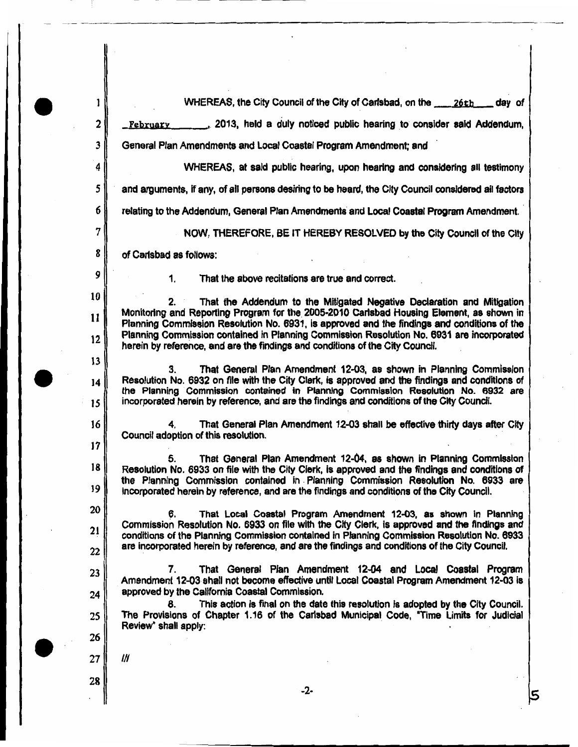WHEREAS, the City Council of the City of Carlsbad, on the \_\_\_\_\_\_ 26th \_\_\_\_\_ day of

2013, held a duly noticed public hearing to consider said Addendum, February

General Plan Amendments and Local Coastal Program Amendment; and

WHEREAS, at said public hearing, upon hearing and considering all testimony

5 and arguments, if any, of all persons desiring to be heard, the City Council considered all factors

6 relating to the Addendum, General Plan Amendments and Local Coastal Program Amendment.

NOW, THEREFORE, BE IT HEREBY RESOLVED by the City Council of the City

of Carlsbad as follows:

 $\mathbf{1}$ .

9 10

11

 $12$ 

 $13$ 

14

15

16

17

18

19

20

21

22

23

24

25

26

27

28

7

8

1

 $\mathbf{2}$ 

3

4

That the above recitations are true and correct.

That the Addendum to the Mitigated Negative Declaration and Mitigation Monitoring and Reporting Program for the 2005-2010 Carlsbad Housing Element, as shown in Planning Commission Resolution No. 6931, is approved and the findings and conditions of the Planning Commission contained in Planning Commission Resolution No. 6931 are incorporated herein by reference, and are the findings and conditions of the City Council.

That General Plan Amendment 12-03, as shown in Planning Commission З. Resolution No. 6932 on file with the City Clerk, is approved and the findings and conditions of the Planning Commission contained in Planning Commission Resolution No. 6932 are incorporated herein by reference, and are the findings and conditions of the City Council.

4. That General Plan Amendment 12-03 shall be effective thirty days after City Council adoption of this resolution.

That General Plan Amendment 12-04, as shown in Planning Commission 5. Resolution No. 6933 on file with the City Clerk, is approved and the findings and conditions of the Planning Commission contained in Planning Commission Resolution No. 6933 are incorporated herein by reference, and are the findings and conditions of the City Council.

That Local Coastal Program Amendment 12-03, as shown in Planning Commission Resolution No. 6933 on file with the City Clerk, is approved and the findings and conditions of the Planning Commission contained in Planning Commission Resolution No. 6933 are incorporated herein by reference, and are the findings and conditions of the City Council.

7. That General Plan Amendment 12-04 and Local Coastal Program Amendment 12-03 shall not become effective until Local Coastal Program Amendment 12-03 is approved by the California Coastal Commission.

This action is final on the date this resolution is adopted by the City Council. The Provisions of Chapter 1.16 of the Carlsbad Municipal Code, "Time Limits for Judicial Review" shall apply:

-2-

IH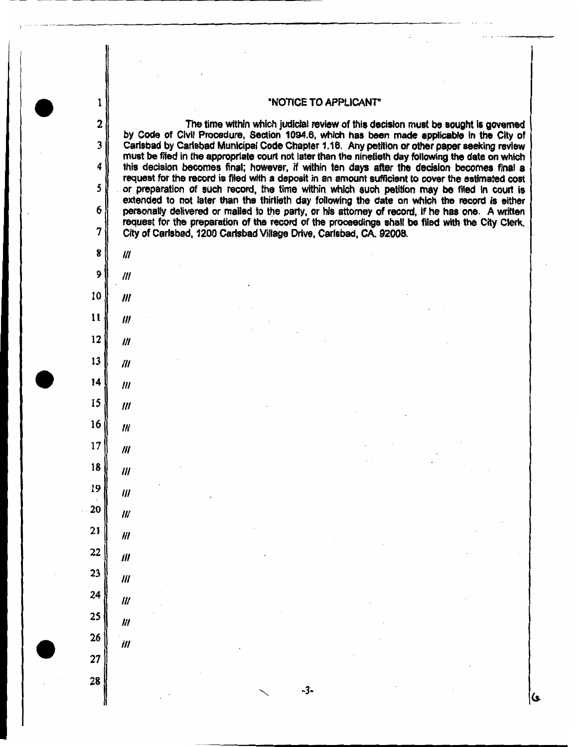#### "NOTICE TO APPLICANT"

The time within which judicial review of this decision must be sought is governed by Code of Civil Procedure, Section 1094.6, which has been made applicable in the City of Carlsbad by Carlsbad Municipal Code Chapter 1.16. Any petition or other paper seeking review must be filed in the appropriate court not later than the ninetieth day following the date on which this decision becomes final; however, if within ten days after the decision becomes final a request for the record is filed with a deposit in an amount sufficient to cover the estimated cost or preparation of such record, the time within which such petition may be filed in court is extended to not later than the thirtieth day following the date on which the record is either personally delivered or mailed to the party, or his attorney of record, if he has one. A written request for the preparation of the record of the proceedings shall be filed with the City Clerk. City of Carlsbad, 1200 Carlsbad Village Drive, Carlsbad, CA. 92008.

8  $\mathbf{u}$ 9  $III$ 10  $^{\prime\prime\prime}$  $11$  $^{\prime\prime\prime}$  $12$  $III$  $13$  $^{\prime\prime\prime}$ 14  $^{\prime\prime\prime}$ 

 $III$ 

111

 $^{\prime\prime}$ 

 $III$ 

 $III$ 

 $III$ 

 $III$ 

 $\mathbf{m}$ 

‴

‴

 $III$ 

 $III$ 

15

16

 $17$ 

18

19

20

21

 $22$ 

 $23$ 

24

25

26

27

28

1

 $\mathbf 2$ 

3

4

5

6

 $\overline{7}$ 

-3-

ی)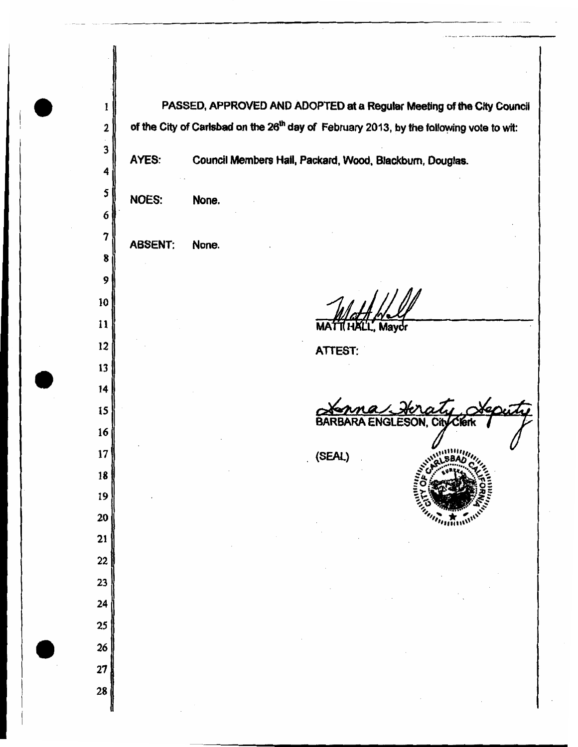PASSED, APPROVED AND ADOPTED at a Regular Meeting of the City Council  $\mathbf{1}$ of the City of Carlsbad on the 26<sup>th</sup> day of February 2013, by the following vote to wit:  $\overline{\mathbf{2}}$ 3 AYES: Council Members Hall, Packard, Wood, Blackburn, Douglas. 4 5 NOES: None. 6  $\overline{7}$ **ABSENT:** None. 8 9 10  $11$ Mavor 12 **ATTEST:** 13  $14$ 15 **BAR ESON. City** 16 17 (SEAL) 18 19 20  $n_{min}$ 21  $22$  $23$ 24 25 26 27 28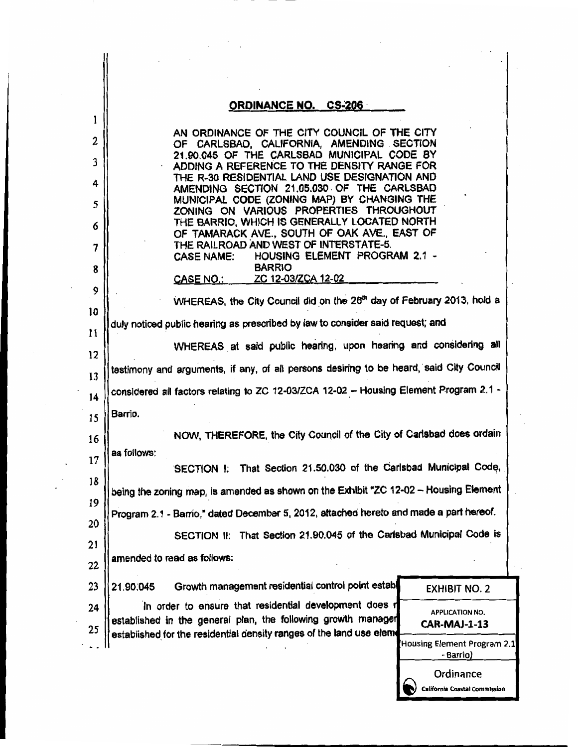|    | <b>ORDINANCE NO. CS-206</b>                                                                                             |                                                   |  |  |  |
|----|-------------------------------------------------------------------------------------------------------------------------|---------------------------------------------------|--|--|--|
|    | AN ORDINANCE OF THE CITY COUNCIL OF THE CITY                                                                            |                                                   |  |  |  |
|    | OF CARLSBAD, CALIFORNIA, AMENDING SECTION<br>21.90.045 OF THE CARLSBAD MUNICIPAL CODE BY                                |                                                   |  |  |  |
|    | ADDING A REFERENCE TO THE DENSITY RANGE FOR<br>THE R-30 RESIDENTIAL LAND USE DESIGNATION AND                            |                                                   |  |  |  |
|    | AMENDING SECTION 21.05.030 OF THE CARLSBAD                                                                              |                                                   |  |  |  |
|    | MUNICIPAL CODE (ZONING MAP) BY CHANGING THE<br>ZONING ON VARIOUS PROPERTIES THROUGHOUT                                  |                                                   |  |  |  |
| 6  | THE BARRIO, WHICH IS GENERALLY LOCATED NORTH<br>OF TAMARACK AVE., SOUTH OF OAK AVE., EAST OF                            |                                                   |  |  |  |
|    | THE RAILROAD AND WEST OF INTERSTATE-5.<br>CASE NAME: HOUSING ELEMENT PROGRAM 2.1 -                                      |                                                   |  |  |  |
| 8  | <b>BARRIO</b>                                                                                                           |                                                   |  |  |  |
|    | ZC 12-03/ZCA 12-02<br><u>CASE NO.: _____</u>                                                                            |                                                   |  |  |  |
|    | WHEREAS, the City Council did on the 26 <sup>th</sup> day of February 2013, hold a                                      |                                                   |  |  |  |
|    | duly noticed public hearing as prescribed by law to consider said request; and                                          |                                                   |  |  |  |
|    | WHEREAS at said public hearing, upon hearing and considering all                                                        |                                                   |  |  |  |
|    | testimony and arguments, if any, of all persons desiring to be heard, said City Council                                 |                                                   |  |  |  |
|    | considered all factors relating to ZC 12-03/ZCA 12-02 - Housing Element Program 2.1 -                                   |                                                   |  |  |  |
|    | Barrio.                                                                                                                 |                                                   |  |  |  |
|    | NOW, THEREFORE, the City Council of the City of Carlsbad does ordain                                                    |                                                   |  |  |  |
|    | as follows:                                                                                                             |                                                   |  |  |  |
|    | SECTION I: That Section 21.50.030 of the Carlsbad Municipal Code,                                                       |                                                   |  |  |  |
|    | being the zoning map, is amended as shown on the Exhibit "ZC 12-02 - Housing Element                                    |                                                   |  |  |  |
|    | Program 2.1 - Barrio," dated December 5, 2012, attached hereto and made a part hereof.                                  |                                                   |  |  |  |
|    | SECTION II: That Section 21.90.045 of the Carlsbad Municipal Code is                                                    |                                                   |  |  |  |
|    | amended to read as follows:                                                                                             |                                                   |  |  |  |
|    |                                                                                                                         |                                                   |  |  |  |
|    | Growth management residential control point establ<br>21.90.045                                                         | <b>EXHIBIT NO. 2</b>                              |  |  |  |
| 24 | In order to ensure that residential development does r<br>established in the general plan, the following growth manager | <b>APPLICATION NO.</b><br><b>CAR-MAJ-1-13</b>     |  |  |  |
| 25 | established for the residential density ranges of the land use elem                                                     | <b>Housing Element Program 2.1</b><br>- Barrio)   |  |  |  |
|    |                                                                                                                         | Ordinance<br><b>California Coastal Commission</b> |  |  |  |

 $\mathcal{L}^{\text{max}}_{\text{max}}$ 

 $\label{eq:2} \begin{bmatrix} \mathbf{1} & \mathbf{1} & \mathbf{1} & \mathbf{1} \\ \mathbf{1} & \mathbf{1} & \mathbf{1} & \mathbf{1} \\ \mathbf{1} & \mathbf{1} & \mathbf{1} & \mathbf{1} \\ \mathbf{1} & \mathbf{1} & \mathbf{1} & \mathbf{1} \\ \mathbf{1} & \mathbf{1} & \mathbf{1} & \mathbf{1} \\ \mathbf{1} & \mathbf{1} & \mathbf{1} & \mathbf{1} \\ \mathbf{1} & \mathbf{1} & \mathbf{1} & \mathbf{1} \\ \mathbf{1} & \mathbf{$ 

 $\label{eq:2.1} \mathcal{L}(\mathcal{L}) = \mathcal{L}(\mathcal{L}) \mathcal{L}(\mathcal{L}) = \mathcal{L}(\mathcal{L}) \mathcal{L}(\mathcal{L})$ 

 $\cdot$ 

 $\ddot{\phantom{0}}$ 

 $\cdot$  $\bar{\mathcal{A}}$  $\ddot{\phantom{0}}$ 

 $\sim$ 

 $\cdot$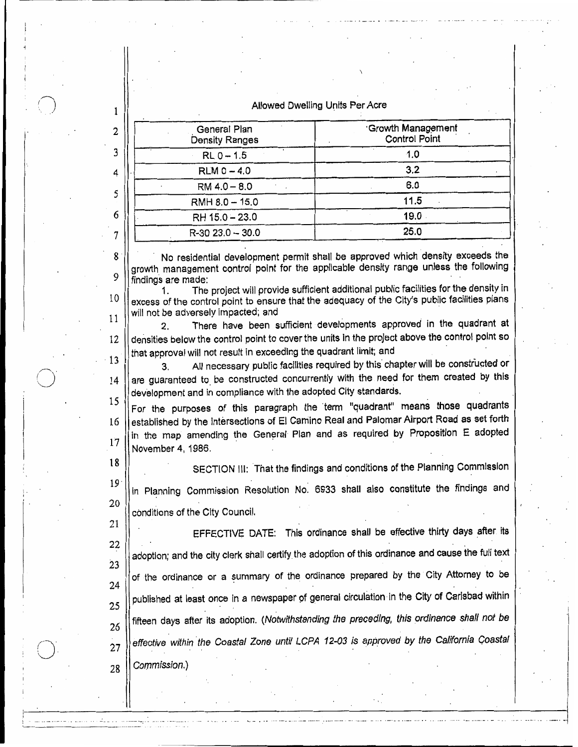#### Allowed Dwelling Units Per Acre

| Growth Management<br><b>Control Point</b> |
|-------------------------------------------|
| 1.0                                       |
| 3.2                                       |
| 6,0                                       |
| 11.5                                      |
| 19.0                                      |
| 25.0                                      |
|                                           |

No residential development permit shall be approved which density exceeds the growth management control point for the applicable density range unless the following findings are made:

The project will provide sufficient additional public facilities for the density in 1.  $10$ excess of the control point to ensure that the adequacy of the City's public facilities plans will not be adversely impacted; and 11

There have been sufficient developments approved in the quadrant at  $2.$ densities below the control point to cover the units in the project above the control point so 12 that approval will not result in exceeding the quadrant limit; and

13 All necessary public facilities required by this chapter will be constructed or 3. are guaranteed to be constructed concurrently with the need for them created by this 14 development and in compliance with the adopted City standards.

15 For the purposes of this paragraph the term "quadrant" means those quadrants established by the intersections of El Camino Real and Palomar Airport Road as set forth 16 in the map amending the General Plan and as required by Proposition E adopted  $17$ November 4, 1986.

18

 $\mathbf{1}$ 

2

3

4

5

6

7

8

9

SECTION III: That the findings and conditions of the Planning Commission

19 in Planning Commission Resolution No. 6933 shall also constitute the findings and 20

conditions of the City Council. 21

EFFECTIVE DATE: This ordinance shall be effective thirty days after its 22 adoption; and the city clerk shall certify the adoption of this ordinance and cause the full text 23 of the ordinance or a summary of the ordinance prepared by the City Attorney to be 24 published at least once in a newspaper of general circulation in the City of Carlsbad within 25 fifteen days after its adoption. (Notwithstanding the preceding, this ordinance shall not be 26 effective within the Coastal Zone until LCPA 12-03 is approved by the California Coastal  $27$ Commission.) 28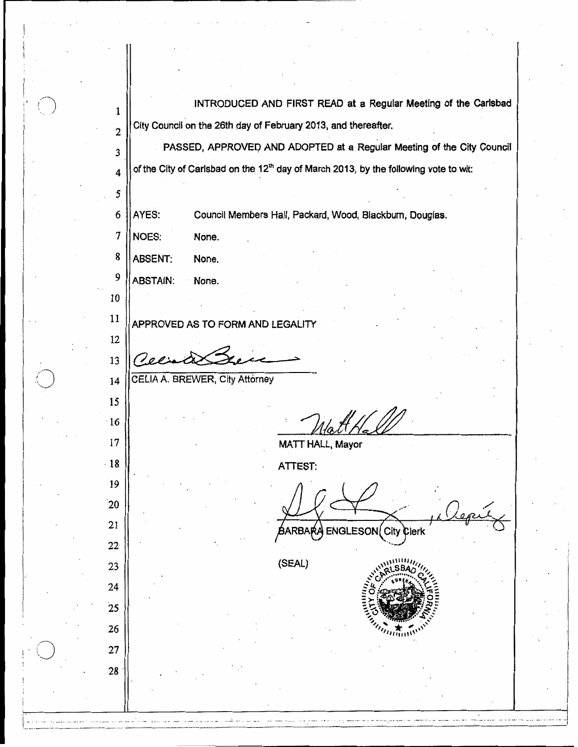INTRODUCED AND FIRST READ at a Regular Meeting of the Carlsbad  $\mathbf{1}$ City Council on the 26th day of February 2013, and thereafter.  $\overline{2}$ PASSED, APPROVED AND ADOPTED at a Regular Meeting of the City Council  $\overline{3}$ of the City of Carlsbad on the 12<sup>th</sup> day of March 2013, by the following vote to wit:  $\overline{\mathbf{4}}$ 5 AYES: Council Members Hall, Packard, Wood, Blackburn, Douglas. 6 **NOES:** 7 None. 8 **ABSENT:** None. 9 **ABSTAIN:** None.  $10<sup>10</sup>$ 11 APPROVED AS TO FORM AND LEGALITY 12 13  $\mathcal{O}$ opin

CELIA A. BREWER, City Attorney

14

15

 $\cdot 16$ 

17

 $\cdot$ 18

 $19$ 

 $20$ 

21

 $22<sup>°</sup>$ 

23.

24

 $25$ 

26

27

28

**MATT HALL, Mayor** 

**ATTEST:** 

City RR Clerk

(SEAL)